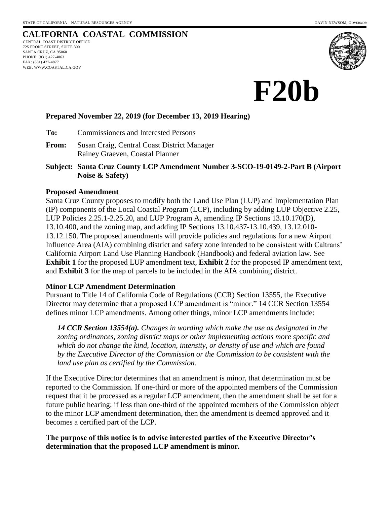# **CALIFORNIA COASTAL COMMISSION**

CENTRAL COAST DISTRICT OFFICE 725 FRONT STREET, SUITE 300 SANTA CRUZ, CA 95060 PHONE: (831) 427-4863 FAX: (831) 427-4877 WEB: WWW.COASTAL.CA.GOV





#### **Prepared November 22, 2019 (for December 13, 2019 Hearing)**

**To:** Commissioners and Interested Persons

- **From:** Susan Craig, Central Coast District Manager Rainey Graeven, Coastal Planner
- **Subject: Santa Cruz County LCP Amendment Number 3-SCO-19-0149-2-Part B (Airport Noise & Safety)**

#### **Proposed Amendment**

Santa Cruz County proposes to modify both the Land Use Plan (LUP) and Implementation Plan (IP) components of the Local Coastal Program (LCP), including by adding LUP Objective 2.25, LUP Policies 2.25.1-2.25.20, and LUP Program A, amending IP Sections 13.10.170(D), 13.10.400, and the zoning map, and adding IP Sections 13.10.437-13.10.439, 13.12.010- 13.12.150. The proposed amendments will provide policies and regulations for a new Airport Influence Area (AIA) combining district and safety zone intended to be consistent with Caltrans' California Airport Land Use Planning Handbook (Handbook) and federal aviation law. See **Exhibit 1** for the proposed LUP amendment text, **Exhibit 2** for the proposed IP amendment text, and **Exhibit 3** for the map of parcels to be included in the AIA combining district.

#### **Minor LCP Amendment Determination**

Pursuant to Title 14 of California Code of Regulations (CCR) Section 13555, the Executive Director may determine that a proposed LCP amendment is "minor." 14 CCR Section 13554 defines minor LCP amendments. Among other things, minor LCP amendments include:

*14 CCR Section 13554(a). Changes in wording which make the use as designated in the zoning ordinances, zoning district maps or other implementing actions more specific and which do not change the kind, location, intensity, or density of use and which are found by the Executive Director of the Commission or the Commission to be consistent with the land use plan as certified by the Commission.*

If the Executive Director determines that an amendment is minor, that determination must be reported to the Commission. If one-third or more of the appointed members of the Commission request that it be processed as a regular LCP amendment, then the amendment shall be set for a future public hearing; if less than one-third of the appointed members of the Commission object to the minor LCP amendment determination, then the amendment is deemed approved and it becomes a certified part of the LCP.

### **The purpose of this notice is to advise interested parties of the Executive Director's determination that the proposed LCP amendment is minor.**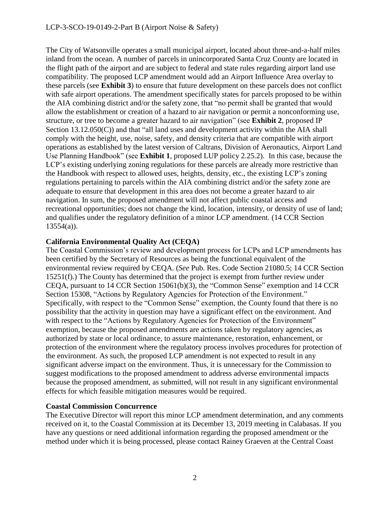The City of Watsonville operates a small municipal airport, located about three-and-a-half miles inland from the ocean. A number of parcels in unincorporated Santa Cruz County are located in the flight path of the airport and are subject to federal and state rules regarding airport land use compatibility. The proposed LCP amendment would add an Airport Influence Area overlay to these parcels (see **Exhibit 3**) to ensure that future development on these parcels does not conflict with safe airport operations. The amendment specifically states for parcels proposed to be within the AIA combining district and/or the safety zone, that "no permit shall be granted that would allow the establishment or creation of a hazard to air navigation or permit a nonconforming use, structure, or tree to become a greater hazard to air navigation" (see **Exhibit 2**, proposed IP Section 13.12.050(C)) and that "all land uses and development activity within the AIA shall comply with the height, use, noise, safety, and density criteria that are compatible with airport operations as established by the latest version of Caltrans, Division of Aeronautics, Airport Land Use Planning Handbook" (see **Exhibit 1**, proposed LUP policy 2.25.2). In this case, because the LCP's existing underlying zoning regulations for these parcels are already more restrictive than the Handbook with respect to allowed uses, heights, density, etc., the existing LCP's zoning regulations pertaining to parcels within the AIA combining district and/or the safety zone are adequate to ensure that development in this area does not become a greater hazard to air navigation. In sum, the proposed amendment will not affect public coastal access and recreational opportunities; does not change the kind, location, intensity, or density of use of land; and qualifies under the regulatory definition of a minor LCP amendment. (14 CCR Section 13554(a)).

# **California Environmental Quality Act (CEQA)**

The Coastal Commission's review and development process for LCPs and LCP amendments has been certified by the Secretary of Resources as being the functional equivalent of the environmental review required by CEQA. (*See* Pub. Res. Code Section 21080.5; 14 CCR Section 15251(f).) The County has determined that the project is exempt from further review under CEQA, pursuant to 14 CCR Section 15061(b)(3), the "Common Sense" exemption and 14 CCR Section 15308, "Actions by Regulatory Agencies for Protection of the Environment." Specifically, with respect to the "Common Sense" exemption, the County found that there is no possibility that the activity in question may have a significant effect on the environment. And with respect to the "Actions by Regulatory Agencies for Protection of the Environment" exemption, because the proposed amendments are actions taken by regulatory agencies, as authorized by state or local ordinance, to assure maintenance, restoration, enhancement, or protection of the environment where the regulatory process involves procedures for protection of the environment. As such, the proposed LCP amendment is not expected to result in any significant adverse impact on the environment. Thus, it is unnecessary for the Commission to suggest modifications to the proposed amendment to address adverse environmental impacts because the proposed amendment, as submitted, will not result in any significant environmental effects for which feasible mitigation measures would be required.

# **Coastal Commission Concurrence**

The Executive Director will report this minor LCP amendment determination, and any comments received on it, to the Coastal Commission at its December 13, 2019 meeting in Calabasas. If you have any questions or need additional information regarding the proposed amendment or the method under which it is being processed, please contact Rainey Graeven at the Central Coast